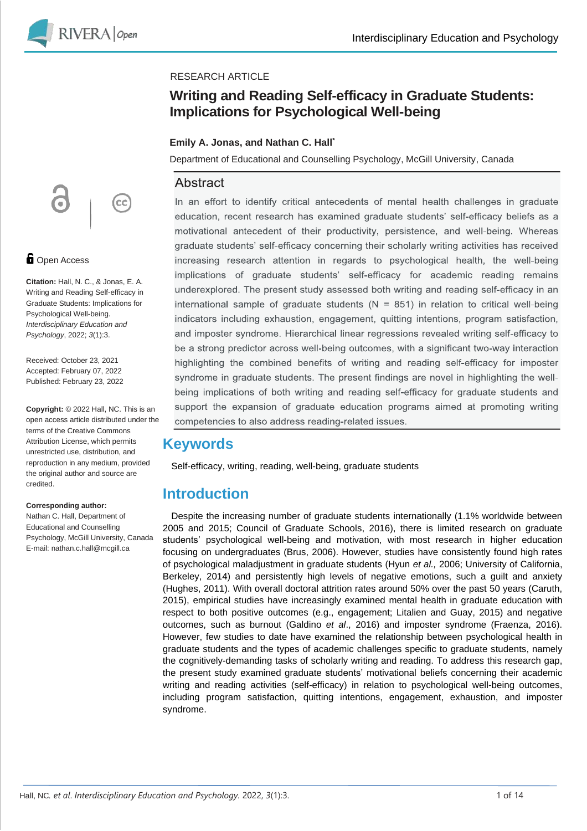

### RESEARCH ARTICLE

## **Writing and Reading Self-efficacy in Graduate Students: Implications for Psychological Well-being**

### **Emily A. Jonas, and Nathan C. Hall\***

Department of Educational and Counselling Psychology, McGill University, Canada

## Abstract

In an effort to identify critical antecedents of mental health challenges in graduate education, recent research has examined graduate students' self-efficacy beliefs as a motivational antecedent of their productivity, persistence, and well-being. Whereas graduate students' self-efficacy concerning their scholarly writing activities has received increasing research attention in regards to psychological health, the well-being implications of graduate students' self-efficacy for academic reading remains underexplored. The present study assessed both writing and reading self-efficacy in an international sample of graduate students ( $N = 851$ ) in relation to critical well-being indicators including exhaustion, engagement, quitting intentions, program satisfaction, and imposter syndrome. Hierarchical linear regressions revealed writing self-efficacy to be a strong predictor across well-being outcomes, with a significant two-way interaction highlighting the combined benefits of writing and reading self-efficacy for imposter syndrome in graduate students. The present findings are novel in highlighting the wellbeing implications of both writing and reading self-efficacy for graduate students and support the expansion of graduate education programs aimed at promoting writing competencies to also address reading-related issues.

## **Keywords**

Self-efficacy, writing, reading, well-being, graduate students

## **Introduction**

Despite the increasing number of graduate students internationally (1.1% worldwide between 2005 and 2015; Council of Graduate Schools, 2016), there is limited research on graduate students' psychological well-being and motivation, with most research in higher education focusing on undergraduates (Brus, 2006). However, studies have consistently found high rates of psychological maladjustment in graduate students (Hyun *et al.,* 2006; University of California, Berkeley, 2014) and persistently high levels of negative emotions, such a guilt and anxiety (Hughes, 2011). With overall doctoral attrition rates around 50% over the past 50 years (Caruth, 2015), empirical studies have increasingly examined mental health in graduate education with respect to both positive outcomes (e.g., engagement; Litalien and Guay, 2015) and negative outcomes, such as burnout (Galdino *et al*., 2016) and imposter syndrome (Fraenza, 2016). However, few studies to date have examined the relationship between psychological health in graduate students and the types of academic challenges specific to graduate students, namely the cognitively-demanding tasks of scholarly writing and reading. To address this research gap, the present study examined graduate students' motivational beliefs concerning their academic writing and reading activities (self-efficacy) in relation to psychological well-being outcomes, including program satisfaction, quitting intentions, engagement, exhaustion, and imposter syndrome.

**cc** 

### **D** Open Access

**Citation:** Hall, N. C., & Jonas, E. A. Writing and Reading Self-efficacy in Graduate Students: Implications for Psychological Well-being. *Interdisciplinary Education and Psychology*, 2022; *3*(1):3.

Received: October 23, 2021 Accepted: February 07, 2022 Published: February 23, 2022

**Copyright:** © 2022 Hall, NC. This is an open access article distributed under the terms of the Creative Commons Attribution License, which permits unrestricted use, distribution, and reproduction in any medium, provided the original author and source are credited.

#### **Corresponding author:**

Nathan C. Hall, Department of Educational and Counselling Psychology, McGill University, Canada E-mail: nathan.c.hall@mcgill.ca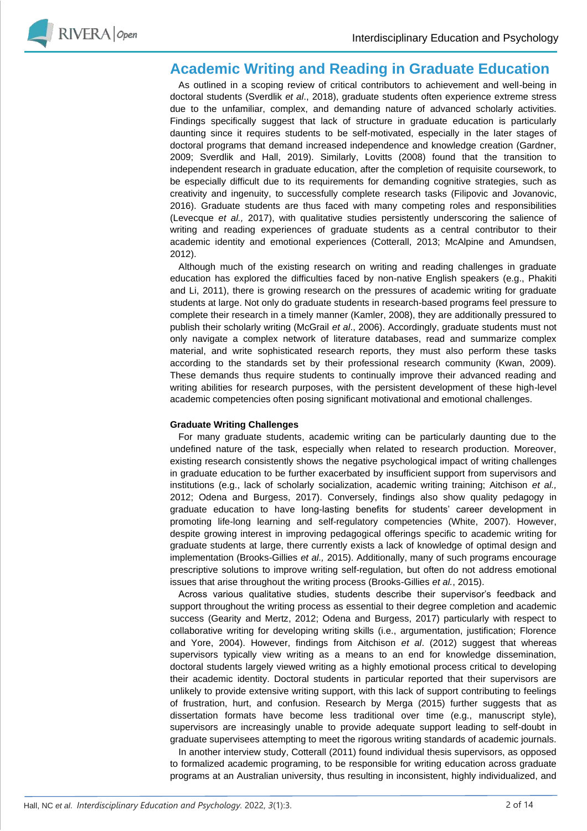

## **Academic Writing and Reading in Graduate Education**

As outlined in a scoping review of critical contributors to achievement and well-being in doctoral students (Sverdlik *et al*., 2018), graduate students often experience extreme stress due to the unfamiliar, complex, and demanding nature of advanced scholarly activities. Findings specifically suggest that lack of structure in graduate education is particularly daunting since it requires students to be self-motivated, especially in the later stages of doctoral programs that demand increased independence and knowledge creation (Gardner, 2009; Sverdlik and Hall, 2019). Similarly, Lovitts (2008) found that the transition to independent research in graduate education, after the completion of requisite coursework, to be especially difficult due to its requirements for demanding cognitive strategies, such as creativity and ingenuity, to successfully complete research tasks (Filipovic and Jovanovic, 2016). Graduate students are thus faced with many competing roles and responsibilities (Levecque *et al.,* 2017), with qualitative studies persistently underscoring the salience of writing and reading experiences of graduate students as a central contributor to their academic identity and emotional experiences (Cotterall, 2013; McAlpine and Amundsen, 2012).

Although much of the existing research on writing and reading challenges in graduate education has explored the difficulties faced by non-native English speakers (e.g., Phakiti and Li, 2011), there is growing research on the pressures of academic writing for graduate students at large. Not only do graduate students in research-based programs feel pressure to complete their research in a timely manner (Kamler, 2008), they are additionally pressured to publish their scholarly writing (McGrail *et al*., 2006). Accordingly, graduate students must not only navigate a complex network of literature databases, read and summarize complex material, and write sophisticated research reports, they must also perform these tasks according to the standards set by their professional research community (Kwan, 2009). These demands thus require students to continually improve their advanced reading and writing abilities for research purposes, with the persistent development of these high-level academic competencies often posing significant motivational and emotional challenges.

#### **Graduate Writing Challenges**

For many graduate students, academic writing can be particularly daunting due to the undefined nature of the task, especially when related to research production. Moreover, existing research consistently shows the negative psychological impact of writing challenges in graduate education to be further exacerbated by insufficient support from supervisors and institutions (e.g., lack of scholarly socialization, academic writing training; Aitchison *et al.,* 2012; Odena and Burgess, 2017). Conversely, findings also show quality pedagogy in graduate education to have long-lasting benefits for students' career development in promoting life-long learning and self-regulatory competencies (White, 2007). However, despite growing interest in improving pedagogical offerings specific to academic writing for graduate students at large, there currently exists a lack of knowledge of optimal design and implementation (Brooks-Gillies *et al.,* 2015). Additionally, many of such programs encourage prescriptive solutions to improve writing self-regulation, but often do not address emotional issues that arise throughout the writing process (Brooks-Gillies *et al.*, 2015).

Across various qualitative studies, students describe their supervisor's feedback and support throughout the writing process as essential to their degree completion and academic success (Gearity and Mertz, 2012; Odena and Burgess, 2017) particularly with respect to collaborative writing for developing writing skills (i.e., argumentation, justification; Florence and Yore, 2004). However, findings from Aitchison *et al*. (2012) suggest that whereas supervisors typically view writing as a means to an end for knowledge dissemination, doctoral students largely viewed writing as a highly emotional process critical to developing their academic identity. Doctoral students in particular reported that their supervisors are unlikely to provide extensive writing support, with this lack of support contributing to feelings of frustration, hurt, and confusion. Research by Merga (2015) further suggests that as dissertation formats have become less traditional over time (e.g., manuscript style), supervisors are increasingly unable to provide adequate support leading to self-doubt in graduate supervisees attempting to meet the rigorous writing standards of academic journals.

In another interview study, Cotterall (2011) found individual thesis supervisors, as opposed to formalized academic programing, to be responsible for writing education across graduate programs at an Australian university, thus resulting in inconsistent, highly individualized, and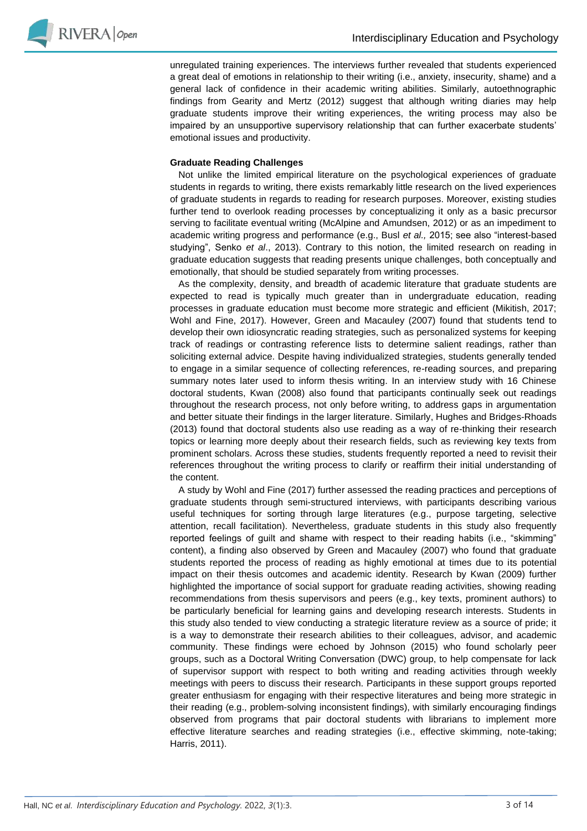

unregulated training experiences. The interviews further revealed that students experienced a great deal of emotions in relationship to their writing (i.e., anxiety, insecurity, shame) and a general lack of confidence in their academic writing abilities. Similarly, autoethnographic findings from Gearity and Mertz (2012) suggest that although writing diaries may help graduate students improve their writing experiences, the writing process may also be impaired by an unsupportive supervisory relationship that can further exacerbate students' emotional issues and productivity.

#### **Graduate Reading Challenges**

Not unlike the limited empirical literature on the psychological experiences of graduate students in regards to writing, there exists remarkably little research on the lived experiences of graduate students in regards to reading for research purposes. Moreover, existing studies further tend to overlook reading processes by conceptualizing it only as a basic precursor serving to facilitate eventual writing (McAlpine and Amundsen, 2012) or as an impediment to academic writing progress and performance (e.g., Busl *et al.,* 2015; see also "interest-based studying", Senko *et al*., 2013). Contrary to this notion, the limited research on reading in graduate education suggests that reading presents unique challenges, both conceptually and emotionally, that should be studied separately from writing processes.

As the complexity, density, and breadth of academic literature that graduate students are expected to read is typically much greater than in undergraduate education, reading processes in graduate education must become more strategic and efficient (Mikitish, 2017; Wohl and Fine, 2017). However, Green and Macauley (2007) found that students tend to develop their own idiosyncratic reading strategies, such as personalized systems for keeping track of readings or contrasting reference lists to determine salient readings, rather than soliciting external advice. Despite having individualized strategies, students generally tended to engage in a similar sequence of collecting references, re-reading sources, and preparing summary notes later used to inform thesis writing. In an interview study with 16 Chinese doctoral students, Kwan (2008) also found that participants continually seek out readings throughout the research process, not only before writing, to address gaps in argumentation and better situate their findings in the larger literature. Similarly, Hughes and Bridges-Rhoads (2013) found that doctoral students also use reading as a way of re-thinking their research topics or learning more deeply about their research fields, such as reviewing key texts from prominent scholars. Across these studies, students frequently reported a need to revisit their references throughout the writing process to clarify or reaffirm their initial understanding of the content.

A study by Wohl and Fine (2017) further assessed the reading practices and perceptions of graduate students through semi-structured interviews, with participants describing various useful techniques for sorting through large literatures (e.g., purpose targeting, selective attention, recall facilitation). Nevertheless, graduate students in this study also frequently reported feelings of guilt and shame with respect to their reading habits (i.e., "skimming" content), a finding also observed by Green and Macauley (2007) who found that graduate students reported the process of reading as highly emotional at times due to its potential impact on their thesis outcomes and academic identity. Research by Kwan (2009) further highlighted the importance of social support for graduate reading activities, showing reading recommendations from thesis supervisors and peers (e.g., key texts, prominent authors) to be particularly beneficial for learning gains and developing research interests. Students in this study also tended to view conducting a strategic literature review as a source of pride; it is a way to demonstrate their research abilities to their colleagues, advisor, and academic community. These findings were echoed by Johnson (2015) who found scholarly peer groups, such as a Doctoral Writing Conversation (DWC) group, to help compensate for lack of supervisor support with respect to both writing and reading activities through weekly meetings with peers to discuss their research. Participants in these support groups reported greater enthusiasm for engaging with their respective literatures and being more strategic in their reading (e.g., problem-solving inconsistent findings), with similarly encouraging findings observed from programs that pair doctoral students with librarians to implement more effective literature searches and reading strategies (i.e., effective skimming, note-taking; Harris, 2011).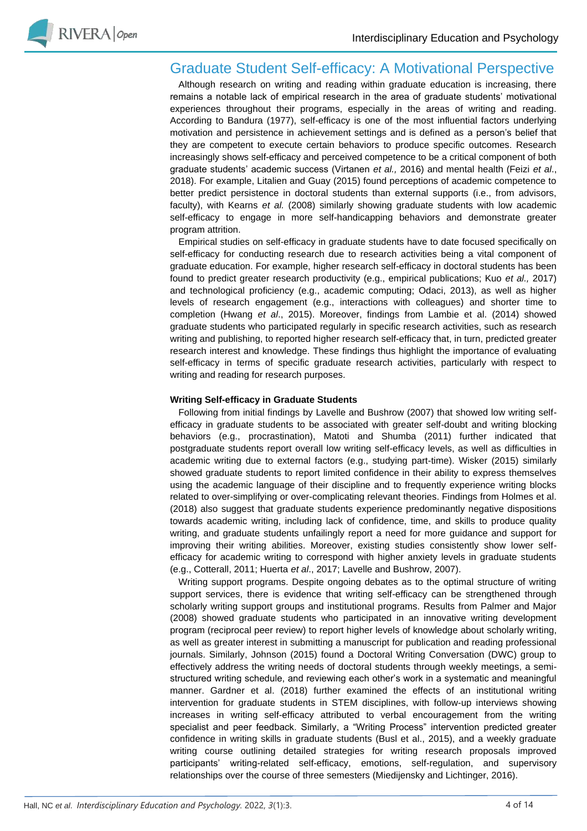

## Graduate Student Self-efficacy: A Motivational Perspective

Although research on writing and reading within graduate education is increasing, there remains a notable lack of empirical research in the area of graduate students' motivational experiences throughout their programs, especially in the areas of writing and reading. According to Bandura (1977), self-efficacy is one of the most influential factors underlying motivation and persistence in achievement settings and is defined as a person's belief that they are competent to execute certain behaviors to produce specific outcomes. Research increasingly shows self-efficacy and perceived competence to be a critical component of both graduate students' academic success (Virtanen *et al.,* 2016) and mental health (Feizi *et al*., 2018). For example, Litalien and Guay (2015) found perceptions of academic competence to better predict persistence in doctoral students than external supports (i.e., from advisors, faculty), with Kearns *et al.* (2008) similarly showing graduate students with low academic self-efficacy to engage in more self-handicapping behaviors and demonstrate greater program attrition.

Empirical studies on self-efficacy in graduate students have to date focused specifically on self-efficacy for conducting research due to research activities being a vital component of graduate education. For example, higher research self-efficacy in doctoral students has been found to predict greater research productivity (e.g., empirical publications; Kuo *et al.,* 2017) and technological proficiency (e.g., academic computing; Odaci, 2013), as well as higher levels of research engagement (e.g., interactions with colleagues) and shorter time to completion (Hwang *et al*., 2015). Moreover, findings from Lambie et al. (2014) showed graduate students who participated regularly in specific research activities, such as research writing and publishing, to reported higher research self-efficacy that, in turn, predicted greater research interest and knowledge. These findings thus highlight the importance of evaluating self-efficacy in terms of specific graduate research activities, particularly with respect to writing and reading for research purposes.

### **Writing Self-efficacy in Graduate Students**

Following from initial findings by Lavelle and Bushrow (2007) that showed low writing selfefficacy in graduate students to be associated with greater self-doubt and writing blocking behaviors (e.g., procrastination), Matoti and Shumba (2011) further indicated that postgraduate students report overall low writing self-efficacy levels, as well as difficulties in academic writing due to external factors (e.g., studying part-time). Wisker (2015) similarly showed graduate students to report limited confidence in their ability to express themselves using the academic language of their discipline and to frequently experience writing blocks related to over-simplifying or over-complicating relevant theories. Findings from Holmes et al. (2018) also suggest that graduate students experience predominantly negative dispositions towards academic writing, including lack of confidence, time, and skills to produce quality writing, and graduate students unfailingly report a need for more guidance and support for improving their writing abilities. Moreover, existing studies consistently show lower selfefficacy for academic writing to correspond with higher anxiety levels in graduate students (e.g., Cotterall, 2011; Huerta *et al*., 2017; Lavelle and Bushrow, 2007).

Writing support programs. Despite ongoing debates as to the optimal structure of writing support services, there is evidence that writing self-efficacy can be strengthened through scholarly writing support groups and institutional programs. Results from Palmer and Major (2008) showed graduate students who participated in an innovative writing development program (reciprocal peer review) to report higher levels of knowledge about scholarly writing, as well as greater interest in submitting a manuscript for publication and reading professional journals. Similarly, Johnson (2015) found a Doctoral Writing Conversation (DWC) group to effectively address the writing needs of doctoral students through weekly meetings, a semistructured writing schedule, and reviewing each other's work in a systematic and meaningful manner. Gardner et al. (2018) further examined the effects of an institutional writing intervention for graduate students in STEM disciplines, with follow-up interviews showing increases in writing self-efficacy attributed to verbal encouragement from the writing specialist and peer feedback. Similarly, a "Writing Process" intervention predicted greater confidence in writing skills in graduate students (Busl et al., 2015), and a weekly graduate writing course outlining detailed strategies for writing research proposals improved participants' writing-related self-efficacy, emotions, self-regulation, and supervisory relationships over the course of three semesters (Miedijensky and Lichtinger, 2016).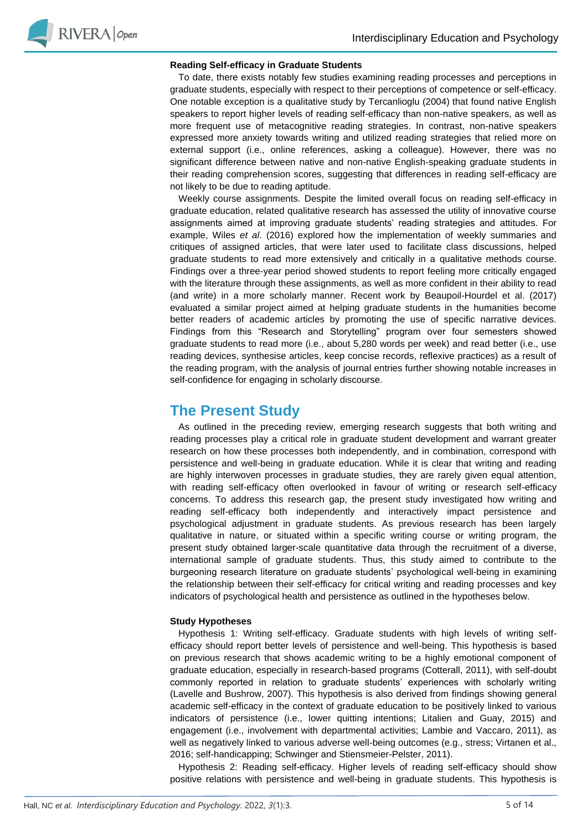

#### **Reading Self-efficacy in Graduate Students**

To date, there exists notably few studies examining reading processes and perceptions in graduate students, especially with respect to their perceptions of competence or self-efficacy. One notable exception is a qualitative study by Tercanlioglu (2004) that found native English speakers to report higher levels of reading self-efficacy than non-native speakers, as well as more frequent use of metacognitive reading strategies. In contrast, non-native speakers expressed more anxiety towards writing and utilized reading strategies that relied more on external support (i.e., online references, asking a colleague). However, there was no significant difference between native and non-native English-speaking graduate students in their reading comprehension scores, suggesting that differences in reading self-efficacy are not likely to be due to reading aptitude.

Weekly course assignments. Despite the limited overall focus on reading self-efficacy in graduate education, related qualitative research has assessed the utility of innovative course assignments aimed at improving graduate students' reading strategies and attitudes. For example, Wiles *et al*. (2016) explored how the implementation of weekly summaries and critiques of assigned articles, that were later used to facilitate class discussions, helped graduate students to read more extensively and critically in a qualitative methods course. Findings over a three-year period showed students to report feeling more critically engaged with the literature through these assignments, as well as more confident in their ability to read (and write) in a more scholarly manner. Recent work by Beaupoil-Hourdel et al. (2017) evaluated a similar project aimed at helping graduate students in the humanities become better readers of academic articles by promoting the use of specific narrative devices. Findings from this "Research and Storytelling" program over four semesters showed graduate students to read more (i.e., about 5,280 words per week) and read better (i.e., use reading devices, synthesise articles, keep concise records, reflexive practices) as a result of the reading program, with the analysis of journal entries further showing notable increases in self-confidence for engaging in scholarly discourse.

## **The Present Study**

As outlined in the preceding review, emerging research suggests that both writing and reading processes play a critical role in graduate student development and warrant greater research on how these processes both independently, and in combination, correspond with persistence and well-being in graduate education. While it is clear that writing and reading are highly interwoven processes in graduate studies, they are rarely given equal attention, with reading self-efficacy often overlooked in favour of writing or research self-efficacy concerns. To address this research gap, the present study investigated how writing and reading self-efficacy both independently and interactively impact persistence and psychological adjustment in graduate students. As previous research has been largely qualitative in nature, or situated within a specific writing course or writing program, the present study obtained larger-scale quantitative data through the recruitment of a diverse, international sample of graduate students. Thus, this study aimed to contribute to the burgeoning research literature on graduate students' psychological well-being in examining the relationship between their self-efficacy for critical writing and reading processes and key indicators of psychological health and persistence as outlined in the hypotheses below.

#### **Study Hypotheses**

Hypothesis 1: Writing self-efficacy. Graduate students with high levels of writing selfefficacy should report better levels of persistence and well-being. This hypothesis is based on previous research that shows academic writing to be a highly emotional component of graduate education, especially in research-based programs (Cotterall, 2011), with self-doubt commonly reported in relation to graduate students' experiences with scholarly writing (Lavelle and Bushrow, 2007). This hypothesis is also derived from findings showing general academic self-efficacy in the context of graduate education to be positively linked to various indicators of persistence (i.e., lower quitting intentions; Litalien and Guay, 2015) and engagement (i.e., involvement with departmental activities; Lambie and Vaccaro, 2011), as well as negatively linked to various adverse well-being outcomes (e.g., stress; Virtanen et al., 2016; self-handicapping; Schwinger and Stiensmeier-Pelster, 2011).

Hypothesis 2: Reading self-efficacy. Higher levels of reading self-efficacy should show positive relations with persistence and well-being in graduate students. This hypothesis is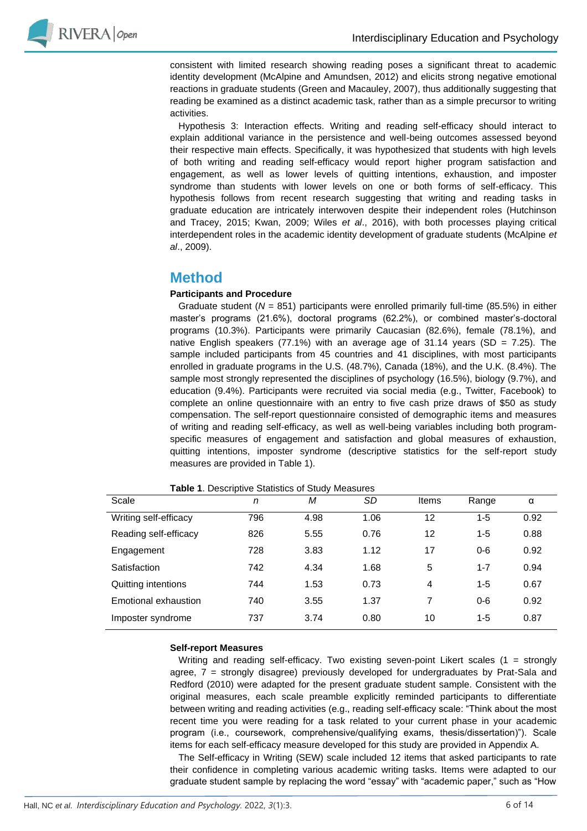

consistent with limited research showing reading poses a significant threat to academic identity development (McAlpine and Amundsen, 2012) and elicits strong negative emotional reactions in graduate students (Green and Macauley, 2007), thus additionally suggesting that reading be examined as a distinct academic task, rather than as a simple precursor to writing activities.

Hypothesis 3: Interaction effects. Writing and reading self-efficacy should interact to explain additional variance in the persistence and well-being outcomes assessed beyond their respective main effects. Specifically, it was hypothesized that students with high levels of both writing and reading self-efficacy would report higher program satisfaction and engagement, as well as lower levels of quitting intentions, exhaustion, and imposter syndrome than students with lower levels on one or both forms of self-efficacy. This hypothesis follows from recent research suggesting that writing and reading tasks in graduate education are intricately interwoven despite their independent roles (Hutchinson and Tracey, 2015; Kwan, 2009; Wiles *et al*., 2016), with both processes playing critical interdependent roles in the academic identity development of graduate students (McAlpine *et al*., 2009).

## **Method**

### **Participants and Procedure**

Graduate student (*N* = 851) participants were enrolled primarily full-time (85.5%) in either master's programs (21.6%), doctoral programs (62.2%), or combined master's-doctoral programs (10.3%). Participants were primarily Caucasian (82.6%), female (78.1%), and native English speakers (77.1%) with an average age of 31.14 years (SD =  $7.25$ ). The sample included participants from 45 countries and 41 disciplines, with most participants enrolled in graduate programs in the U.S. (48.7%), Canada (18%), and the U.K. (8.4%). The sample most strongly represented the disciplines of psychology (16.5%), biology (9.7%), and education (9.4%). Participants were recruited via social media (e.g., Twitter, Facebook) to complete an online questionnaire with an entry to five cash prize draws of \$50 as study compensation. The self-report questionnaire consisted of demographic items and measures of writing and reading self-efficacy, as well as well-being variables including both programspecific measures of engagement and satisfaction and global measures of exhaustion, quitting intentions, imposter syndrome (descriptive statistics for the self-report study measures are provided in Table 1).

| Scale                 | n   | M    | SD   | Items | Range   | α    |
|-----------------------|-----|------|------|-------|---------|------|
| Writing self-efficacy | 796 | 4.98 | 1.06 | 12    | $1 - 5$ | 0.92 |
| Reading self-efficacy | 826 | 5.55 | 0.76 | 12    | $1 - 5$ | 0.88 |
| Engagement            | 728 | 3.83 | 1.12 | 17    | $0 - 6$ | 0.92 |
| Satisfaction          | 742 | 4.34 | 1.68 | 5     | $1 - 7$ | 0.94 |
| Quitting intentions   | 744 | 1.53 | 0.73 | 4     | $1 - 5$ | 0.67 |
| Emotional exhaustion  | 740 | 3.55 | 1.37 | 7     | $0 - 6$ | 0.92 |
| Imposter syndrome     | 737 | 3.74 | 0.80 | 10    | $1 - 5$ | 0.87 |

**Table 1**. Descriptive Statistics of Study Measures

### **Self-report Measures**

Writing and reading self-efficacy. Two existing seven-point Likert scales (1 = strongly agree, 7 = strongly disagree) previously developed for undergraduates by Prat-Sala and Redford (2010) were adapted for the present graduate student sample. Consistent with the original measures, each scale preamble explicitly reminded participants to differentiate between writing and reading activities (e.g., reading self-efficacy scale: "Think about the most recent time you were reading for a task related to your current phase in your academic program (i.e., coursework, comprehensive/qualifying exams, thesis/dissertation)"). Scale items for each self-efficacy measure developed for this study are provided in Appendix A.

The Self-efficacy in Writing (SEW) scale included 12 items that asked participants to rate their confidence in completing various academic writing tasks. Items were adapted to our graduate student sample by replacing the word "essay" with "academic paper," such as "How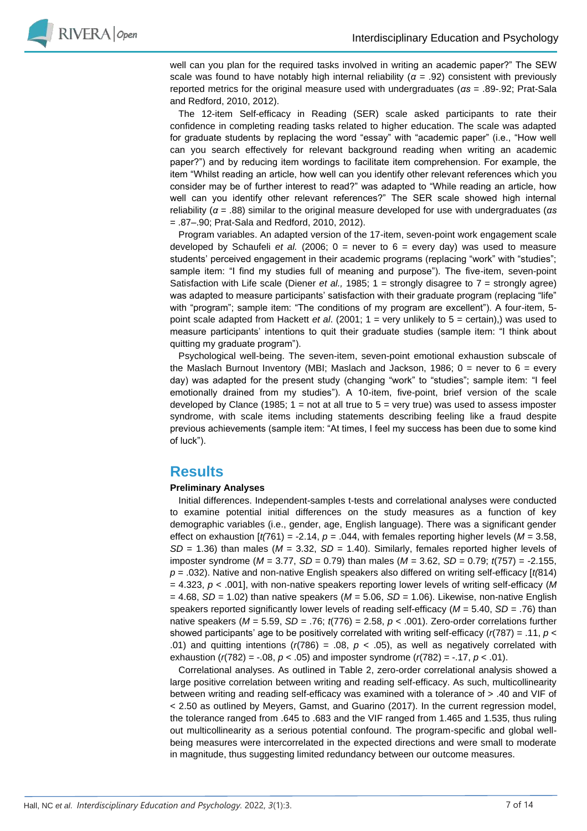

well can you plan for the required tasks involved in writing an academic paper?" The SEW scale was found to have notably high internal reliability ( $\alpha$  = .92) consistent with previously reported metrics for the original measure used with undergraduates (*αs* = .89-.92; Prat-Sala and Redford, 2010, 2012).

The 12-item Self-efficacy in Reading (SER) scale asked participants to rate their confidence in completing reading tasks related to higher education. The scale was adapted for graduate students by replacing the word "essay" with "academic paper" (i.e., "How well can you search effectively for relevant background reading when writing an academic paper?") and by reducing item wordings to facilitate item comprehension. For example, the item "Whilst reading an article, how well can you identify other relevant references which you consider may be of further interest to read?" was adapted to "While reading an article, how well can you identify other relevant references?" The SER scale showed high internal reliability (*α* = .88) similar to the original measure developed for use with undergraduates (*αs* = .87–.90; Prat-Sala and Redford, 2010, 2012).

Program variables. An adapted version of the 17-item, seven-point work engagement scale developed by Schaufeli *et al.* (2006;  $0 =$  never to  $6 =$  every day) was used to measure students' perceived engagement in their academic programs (replacing "work" with "studies"; sample item: "I find my studies full of meaning and purpose"). The five-item, seven-point Satisfaction with Life scale (Diener *et al.,* 1985; 1 = strongly disagree to 7 = strongly agree) was adapted to measure participants' satisfaction with their graduate program (replacing "life" with "program"; sample item: "The conditions of my program are excellent"). A four-item, 5 point scale adapted from Hackett *et al*. (2001; 1 = very unlikely to 5 = certain),) was used to measure participants' intentions to quit their graduate studies (sample item: "I think about quitting my graduate program").

Psychological well-being. The seven-item, seven-point emotional exhaustion subscale of the Maslach Burnout Inventory (MBI; Maslach and Jackson, 1986;  $0 =$  never to  $6 =$  every day) was adapted for the present study (changing "work" to "studies"; sample item: "I feel emotionally drained from my studies"). A 10-item, five-point, brief version of the scale developed by Clance (1985;  $1 = not$  at all true to  $5 =$  very true) was used to assess imposter syndrome, with scale items including statements describing feeling like a fraud despite previous achievements (sample item: "At times, I feel my success has been due to some kind of luck").

## **Results**

### **Preliminary Analyses**

Initial differences. Independent-samples t-tests and correlational analyses were conducted to examine potential initial differences on the study measures as a function of key demographic variables (i.e., gender, age, English language). There was a significant gender effect on exhaustion  $[t(761) = -2.14, p = .044$ , with females reporting higher levels ( $M = 3.58$ , *SD* = 1.36) than males (*M* = 3.32, *SD* = 1.40). Similarly, females reported higher levels of imposter syndrome (*M* = 3.77, *SD* = 0.79) than males (*M* = 3.62, *SD* = 0.79; *t*(757) = -2.155, *p* = .032). Native and non-native English speakers also differed on writing self-efficacy [*t(*814) = 4.323, *p* < .001], with non-native speakers reporting lower levels of writing self-efficacy (*M*  $= 4.68$ , *SD* = 1.02) than native speakers (*M* = 5.06, *SD* = 1.06). Likewise, non-native English speakers reported significantly lower levels of reading self-efficacy (*M* = 5.40, *SD* = .76) than native speakers (*M* = 5.59, *SD* = .76; *t*(776) = 2.58, *p* < .001). Zero-order correlations further showed participants' age to be positively correlated with writing self-efficacy (*r*(787) = .11, *p* < .01) and quitting intentions  $(r(786) = .08, p < .05)$ , as well as negatively correlated with exhaustion (*r*(782) = -.08, *p* < .05) and imposter syndrome (*r*(782) = -.17, *p* < .01).

Correlational analyses. As outlined in Table 2, zero-order correlational analysis showed a large positive correlation between writing and reading self-efficacy. As such, multicollinearity between writing and reading self-efficacy was examined with a tolerance of > .40 and VIF of < 2.50 as outlined by Meyers, Gamst, and Guarino (2017). In the current regression model, the tolerance ranged from .645 to .683 and the VIF ranged from 1.465 and 1.535, thus ruling out multicollinearity as a serious potential confound. The program-specific and global wellbeing measures were intercorrelated in the expected directions and were small to moderate in magnitude, thus suggesting limited redundancy between our outcome measures.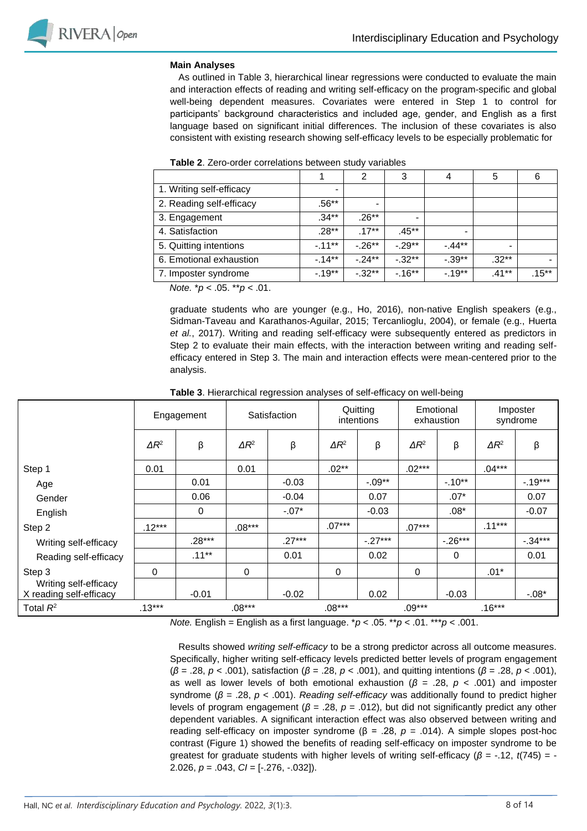

#### **Main Analyses**

As outlined in Table 3, hierarchical linear regressions were conducted to evaluate the main and interaction effects of reading and writing self-efficacy on the program-specific and global well-being dependent measures. Covariates were entered in Step 1 to control for participants' background characteristics and included age, gender, and English as a first language based on significant initial differences. The inclusion of these covariates is also consistent with existing research showing self-efficacy levels to be especially problematic for

|                          |          |          | 3         | 4         | 5                        | 6        |
|--------------------------|----------|----------|-----------|-----------|--------------------------|----------|
| 1. Writing self-efficacy |          |          |           |           |                          |          |
| 2. Reading self-efficacy | .56**    |          |           |           |                          |          |
| 3. Engagement            | $.34**$  | $.26**$  |           |           |                          |          |
| 4. Satisfaction          | $.28**$  | $.17***$ | .45**     |           |                          |          |
| 5. Quitting intentions   | $-11***$ | $-26**$  | $-0.29**$ | $-44**$   | $\overline{\phantom{a}}$ |          |
| 6. Emotional exhaustion  | $-14**$  | $-24**$  | $-.32***$ | $-0.39**$ | $.32***$                 |          |
| 7. Imposter syndrome     | $-19**$  | $-32**$  | $-16***$  | $-19**$   | .41**                    | $.15***$ |

| Table 2. Zero-order correlations between study variables |  |  |  |  |
|----------------------------------------------------------|--|--|--|--|
|----------------------------------------------------------|--|--|--|--|

 *Note.* \**p* < .05. \*\**p* < .01.

graduate students who are younger (e.g., Ho, 2016), non-native English speakers (e.g., Sidman-Taveau and Karathanos-Aguilar, 2015; Tercanlioglu, 2004), or female (e.g., Huerta *et al.*, 2017). Writing and reading self-efficacy were subsequently entered as predictors in Step 2 to evaluate their main effects, with the interaction between writing and reading selfefficacy entered in Step 3. The main and interaction effects were mean-centered prior to the analysis.

|                                                  | Engagement   |          |              | Satisfaction |              | Quitting<br>intentions | Emotional<br>exhaustion |            | Imposter<br>syndrome |          |
|--------------------------------------------------|--------------|----------|--------------|--------------|--------------|------------------------|-------------------------|------------|----------------------|----------|
|                                                  | $\Delta R^2$ | β        | $\Delta R^2$ | β            | $\Delta R^2$ | β                      | $\Delta R^2$            | β          | $\Delta R^2$         | β        |
| Step 1                                           | 0.01         |          | 0.01         |              | $.02**$      |                        | $.02***$                |            | $.04***$             |          |
| Age                                              |              | 0.01     |              | $-0.03$      |              | $-.09**$               |                         | $-10**$    |                      | $-19***$ |
| Gender                                           |              | 0.06     |              | $-0.04$      |              | 0.07                   |                         | $.07*$     |                      | 0.07     |
| English                                          |              | 0        |              | $-.07*$      |              | $-0.03$                |                         | $.08*$     |                      | $-0.07$  |
| Step 2                                           | $.12***$     |          | $.08***$     |              | $.07***$     |                        | $.07***$                |            | $.11***$             |          |
| Writing self-efficacy                            |              | $.28***$ |              | $.27***$     |              | $-27***$               |                         | $-0.26***$ |                      | $-34***$ |
| Reading self-efficacy                            |              | $.11***$ |              | 0.01         |              | 0.02                   |                         | 0          |                      | 0.01     |
| Step 3                                           | 0            |          | 0            |              | 0            |                        | 0                       |            | $.01*$               |          |
| Writing self-efficacy<br>X reading self-efficacy |              | $-0.01$  |              | $-0.02$      |              | 0.02                   |                         | $-0.03$    |                      | $-.08*$  |
| Total $R^2$                                      | $.13***$     |          | $.08***$     |              | $.08***$     |                        | $.09***$                |            | $.16***$             |          |

**Table 3**. Hierarchical regression analyses of self-efficacy on well-being

*Note.* English = English as a first language. \**p* < .05. \*\**p* < .01. \*\*\**p* < .001.

Results showed *writing self-efficacy* to be a strong predictor across all outcome measures. Specifically, higher writing self-efficacy levels predicted better levels of program engagement (*β* = .28, *p* < .001), satisfaction (*β* = .28, *p* < .001), and quitting intentions (*β* = .28, *p* < .001), as well as lower levels of both emotional exhaustion (*β* = .28, *p* < .001) and imposter syndrome (*β* = .28, *p* < .001). *Reading self-efficacy* was additionally found to predict higher levels of program engagement (*β* = .28, *p* = .012), but did not significantly predict any other dependent variables. A significant interaction effect was also observed between writing and reading self-efficacy on imposter syndrome ( $β = .28$ ,  $p = .014$ ). A simple slopes post-hoc contrast (Figure 1) showed the benefits of reading self-efficacy on imposter syndrome to be greatest for graduate students with higher levels of writing self-efficacy ( $\beta$  = -.12, *t*(745) = -2.026, *p* = .043, *CI* = [-.276, -.032]).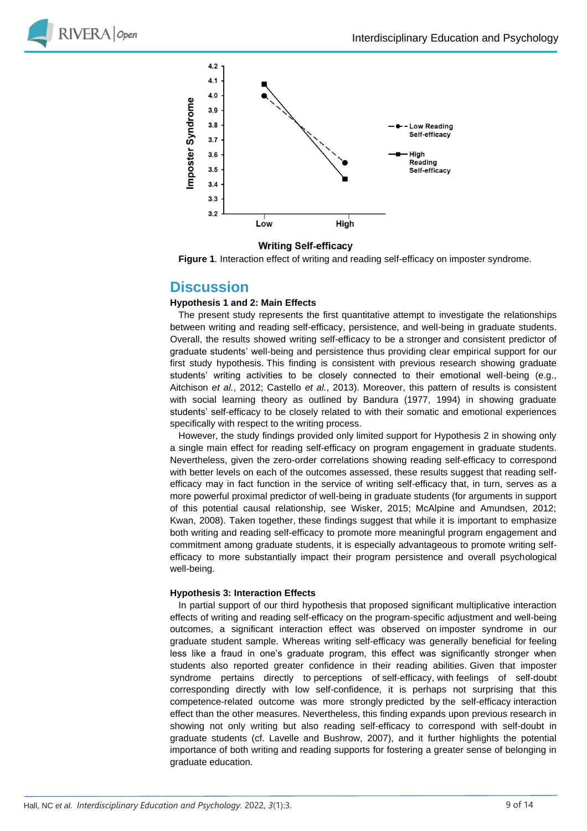



### **Writing Self-efficacy**

**Figure 1***.* Interaction effect of writing and reading self-efficacy on imposter syndrome.

### **Discussion**

#### **Hypothesis 1 and 2: Main Effects**

The present study represents the first quantitative attempt to investigate the relationships between writing and reading self-efficacy, persistence, and well-being in graduate students. Overall, the results showed writing self-efficacy to be a stronger and consistent predictor of graduate students' well-being and persistence thus providing clear empirical support for our first study hypothesis. This finding is consistent with previous research showing graduate students' writing activities to be closely connected to their emotional well-being (e.g., Aitchison *et al.*, 2012; Castello *et al.*, 2013). Moreover, this pattern of results is consistent with social learning theory as outlined by Bandura (1977, 1994) in showing graduate students' self-efficacy to be closely related to with their somatic and emotional experiences specifically with respect to the writing process.

However, the study findings provided only limited support for Hypothesis 2 in showing only a single main effect for reading self-efficacy on program engagement in graduate students. Nevertheless, given the zero-order correlations showing reading self-efficacy to correspond with better levels on each of the outcomes assessed, these results suggest that reading selfefficacy may in fact function in the service of writing self-efficacy that, in turn, serves as a more powerful proximal predictor of well-being in graduate students (for arguments in support of this potential causal relationship, see Wisker, 2015; McAlpine and Amundsen, 2012; Kwan, 2008). Taken together, these findings suggest that while it is important to emphasize both writing and reading self-efficacy to promote more meaningful program engagement and commitment among graduate students, it is especially advantageous to promote writing selfefficacy to more substantially impact their program persistence and overall psychological well-being.

#### **Hypothesis 3: Interaction Effects**

In partial support of our third hypothesis that proposed significant multiplicative interaction effects of writing and reading self-efficacy on the program-specific adjustment and well-being outcomes, a significant interaction effect was observed on imposter syndrome in our graduate student sample. Whereas writing self-efficacy was generally beneficial for feeling less like a fraud in one's graduate program, this effect was significantly stronger when students also reported greater confidence in their reading abilities. Given that imposter syndrome pertains directly to perceptions of self-efficacy, with feelings of self-doubt corresponding directly with low self-confidence, it is perhaps not surprising that this competence-related outcome was more strongly predicted by the self-efficacy interaction effect than the other measures. Nevertheless, this finding expands upon previous research in showing not only writing but also reading self-efficacy to correspond with self-doubt in graduate students (cf. Lavelle and Bushrow, 2007), and it further highlights the potential importance of both writing and reading supports for fostering a greater sense of belonging in graduate education.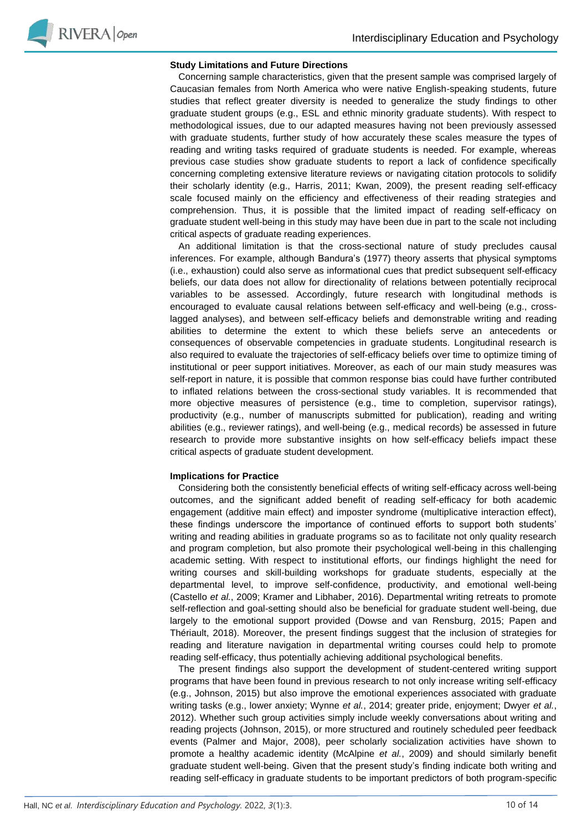#### **Study Limitations and Future Directions**

Concerning sample characteristics, given that the present sample was comprised largely of Caucasian females from North America who were native English-speaking students, future studies that reflect greater diversity is needed to generalize the study findings to other graduate student groups (e.g., ESL and ethnic minority graduate students). With respect to methodological issues, due to our adapted measures having not been previously assessed with graduate students, further study of how accurately these scales measure the types of reading and writing tasks required of graduate students is needed. For example, whereas previous case studies show graduate students to report a lack of confidence specifically concerning completing extensive literature reviews or navigating citation protocols to solidify their scholarly identity (e.g., Harris, 2011; Kwan, 2009), the present reading self-efficacy scale focused mainly on the efficiency and effectiveness of their reading strategies and comprehension. Thus, it is possible that the limited impact of reading self-efficacy on graduate student well-being in this study may have been due in part to the scale not including critical aspects of graduate reading experiences.

An additional limitation is that the cross-sectional nature of study precludes causal inferences. For example, although Bandura's (1977) theory asserts that physical symptoms (i.e., exhaustion) could also serve as informational cues that predict subsequent self-efficacy beliefs, our data does not allow for directionality of relations between potentially reciprocal variables to be assessed. Accordingly, future research with longitudinal methods is encouraged to evaluate causal relations between self-efficacy and well-being (e.g., crosslagged analyses), and between self-efficacy beliefs and demonstrable writing and reading abilities to determine the extent to which these beliefs serve an antecedents or consequences of observable competencies in graduate students. Longitudinal research is also required to evaluate the trajectories of self-efficacy beliefs over time to optimize timing of institutional or peer support initiatives. Moreover, as each of our main study measures was self-report in nature, it is possible that common response bias could have further contributed to inflated relations between the cross-sectional study variables. It is recommended that more objective measures of persistence (e.g., time to completion, supervisor ratings), productivity (e.g., number of manuscripts submitted for publication), reading and writing abilities (e.g., reviewer ratings), and well-being (e.g., medical records) be assessed in future research to provide more substantive insights on how self-efficacy beliefs impact these critical aspects of graduate student development.

#### **Implications for Practice**

Considering both the consistently beneficial effects of writing self-efficacy across well-being outcomes, and the significant added benefit of reading self-efficacy for both academic engagement (additive main effect) and imposter syndrome (multiplicative interaction effect), these findings underscore the importance of continued efforts to support both students' writing and reading abilities in graduate programs so as to facilitate not only quality research and program completion, but also promote their psychological well-being in this challenging academic setting. With respect to institutional efforts, our findings highlight the need for writing courses and skill-building workshops for graduate students, especially at the departmental level, to improve self-confidence, productivity, and emotional well-being (Castello *et al.*, 2009; Kramer and Libhaber, 2016). Departmental writing retreats to promote self-reflection and goal-setting should also be beneficial for graduate student well-being, due largely to the emotional support provided (Dowse and van Rensburg, 2015; Papen and Thériault, 2018). Moreover, the present findings suggest that the inclusion of strategies for reading and literature navigation in departmental writing courses could help to promote reading self-efficacy, thus potentially achieving additional psychological benefits.

The present findings also support the development of student-centered writing support programs that have been found in previous research to not only increase writing self-efficacy (e.g., Johnson, 2015) but also improve the emotional experiences associated with graduate writing tasks (e.g., lower anxiety; Wynne *et al.*, 2014; greater pride, enjoyment; Dwyer *et al.*, 2012). Whether such group activities simply include weekly conversations about writing and reading projects (Johnson, 2015), or more structured and routinely scheduled peer feedback events (Palmer and Major, 2008), peer scholarly socialization activities have shown to promote a healthy academic identity (McAlpine *et al.*, 2009) and should similarly benefit graduate student well-being. Given that the present study's finding indicate both writing and reading self-efficacy in graduate students to be important predictors of both program-specific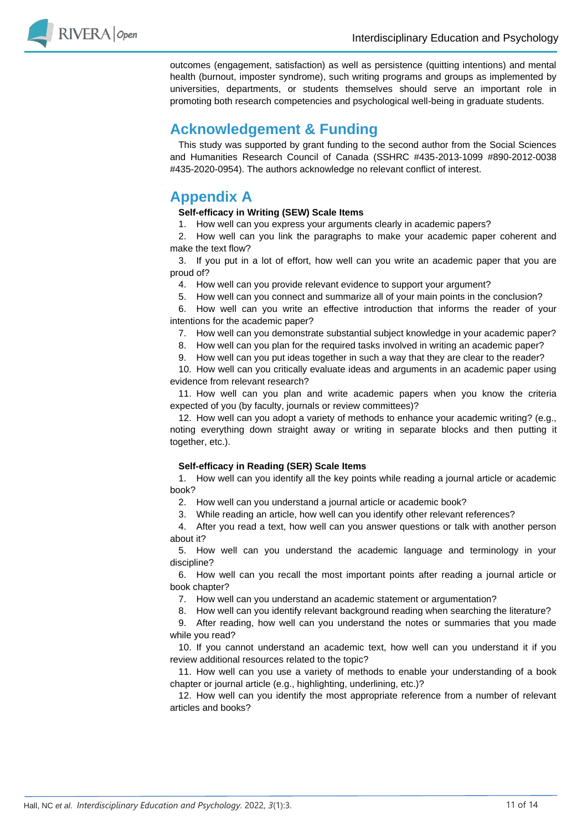

outcomes (engagement, satisfaction) as well as persistence (quitting intentions) and mental health (burnout, imposter syndrome), such writing programs and groups as implemented by universities, departments, or students themselves should serve an important role in promoting both research competencies and psychological well-being in graduate students.

## **Acknowledgement & Funding**

This study was supported by grant funding to the second author from the Social Sciences and Humanities Research Council of Canada (SSHRC #435-2013-1099 #890-2012-0038 #435-2020-0954). The authors acknowledge no relevant conflict of interest.

# **Appendix A**

### **Self-efficacy in Writing (SEW) Scale Items**

1. How well can you express your arguments clearly in academic papers?

2. How well can you link the paragraphs to make your academic paper coherent and make the text flow?

3. If you put in a lot of effort, how well can you write an academic paper that you are proud of?

4. How well can you provide relevant evidence to support your argument?

5. How well can you connect and summarize all of your main points in the conclusion?

6. How well can you write an effective introduction that informs the reader of your intentions for the academic paper?

7. How well can you demonstrate substantial subject knowledge in your academic paper?

8. How well can you plan for the required tasks involved in writing an academic paper?

9. How well can you put ideas together in such a way that they are clear to the reader?

10. How well can you critically evaluate ideas and arguments in an academic paper using evidence from relevant research?

11. How well can you plan and write academic papers when you know the criteria expected of you (by faculty, journals or review committees)?

12. How well can you adopt a variety of methods to enhance your academic writing? (e.g., noting everything down straight away or writing in separate blocks and then putting it together, etc.).

### **Self-efficacy in Reading (SER) Scale Items**

1. How well can you identify all the key points while reading a journal article or academic book?

2. How well can you understand a journal article or academic book?

3. While reading an article, how well can you identify other relevant references?

4. After you read a text, how well can you answer questions or talk with another person about it?

5. How well can you understand the academic language and terminology in your discipline?

6. How well can you recall the most important points after reading a journal article or book chapter?

7. How well can you understand an academic statement or argumentation?

8. How well can you identify relevant background reading when searching the literature?

9. After reading, how well can you understand the notes or summaries that you made while you read?

10. If you cannot understand an academic text, how well can you understand it if you review additional resources related to the topic?

11. How well can you use a variety of methods to enable your understanding of a book chapter or journal article (e.g., highlighting, underlining, etc.)?

12. How well can you identify the most appropriate reference from a number of relevant articles and books?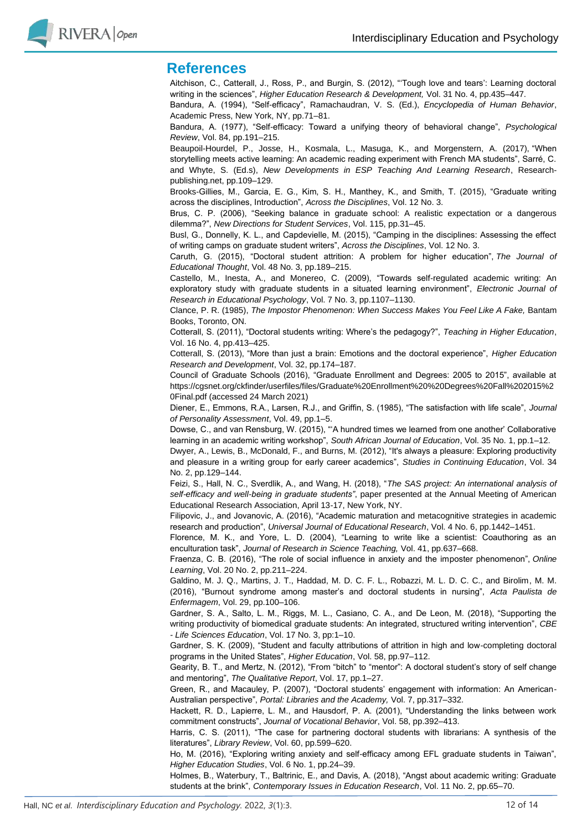

### **References**

Aitchison, C., Catterall, J., Ross, P., and Burgin, S. (2012), "'Tough love and tears': Learning doctoral writing in the sciences", *Higher Education Research & Development,* Vol. 31 No. 4, pp.435–447.

Bandura, A. (1994), "Self-efficacy", Ramachaudran, V. S. (Ed.), *Encyclopedia of Human Behavior*, Academic Press, New York, NY, pp.71–81.

Bandura, A. (1977), "Self-efficacy: Toward a unifying theory of behavioral change", *Psychological Review*, Vol. 84, pp.191–215.

Beaupoil-Hourdel, P., Josse, H., Kosmala, L., Masuga, K., and Morgenstern, A. (2017), "When storytelling meets active learning: An academic reading experiment with French MA students", Sarré, C. and Whyte, S. (Ed.s), *New Developments in ESP Teaching And Learning Research*, Researchpublishing.net, pp.109–129.

Brooks-Gillies, M., Garcia, E. G., Kim, S. H., Manthey, K., and Smith, T. (2015), "Graduate writing across the disciplines, Introduction", *Across the Disciplines*, Vol. 12 No. 3.

Brus, C. P. (2006), "Seeking balance in graduate school: A realistic expectation or a dangerous dilemma?", *New Directions for Student Services*, Vol. 115, pp.31–45.

Busl, G., Donnelly, K. L., and Capdevielle, M. (2015), "Camping in the disciplines: Assessing the effect of writing camps on graduate student writers", *Across the Disciplines*, Vol. 12 No. 3.

Caruth, G. (2015), "Doctoral student attrition: A problem for higher education", *The Journal of Educational Thought*, Vol. 48 No. 3, pp.189–215.

Castello, M., Inesta, A., and Monereo, C. (2009), "Towards self-regulated academic writing: An exploratory study with graduate students in a situated learning environment", *Electronic Journal of Research in Educational Psychology*, Vol. 7 No. 3, pp.1107–1130.

Clance, P. R. (1985), *The Impostor Phenomenon: When Success Makes You Feel Like A Fake,* Bantam Books, Toronto, ON.

Cotterall, S. (2011), "Doctoral students writing: Where's the pedagogy?", *Teaching in Higher Education*, Vol. 16 No. 4, pp.413–425.

Cotterall, S. (2013), "More than just a brain: Emotions and the doctoral experience", *Higher Education Research and Development*, Vol. 32, pp.174–187.

Council of Graduate Schools (2016), "Graduate Enrollment and Degrees: 2005 to 2015", available at https://cgsnet.org/ckfinder/userfiles/files/Graduate%20Enrollment%20%20Degrees%20Fall%202015%2 0Final.pdf (accessed 24 March 2021)

Diener, E., Emmons, R.A., Larsen, R.J., and Griffin, S. (1985), "The satisfaction with life scale", *Journal of Personality Assessment*, Vol. 49, pp.1–5.

Dowse, C., and van Rensburg, W. (2015), "'A hundred times we learned from one another' Collaborative learning in an academic writing workshop", *South African Journal of Education*, Vol. 35 No. 1, pp.1–12.

Dwyer, A., Lewis, B., McDonald, F., and Burns, M. (2012), "It's always a pleasure: Exploring productivity and pleasure in a writing group for early career academics", *Studies in Continuing Education*, Vol. 34 No. 2, pp.129–144.

Feizi, S., Hall, N. C., Sverdlik, A., and Wang, H. (2018), "*The SAS project: An international analysis of self-efficacy and well-being in graduate students"*, paper presented at the Annual Meeting of American Educational Research Association, April 13-17, New York, NY.

Filipovic, J., and Jovanovic, A. (2016), "Academic maturation and metacognitive strategies in academic research and production", *Universal Journal of Educational Research*, Vol. 4 No. 6, pp.1442–1451.

Florence, M. K., and Yore, L. D. (2004), "Learning to write like a scientist: Coauthoring as an enculturation task", *Journal of Research in Science Teaching,* Vol. 41, pp.637–668.

Fraenza, C. B. (2016), "The role of social influence in anxiety and the imposter phenomenon", *Online Learning*, Vol. 20 No. 2, pp.211–224.

Galdino, M. J. Q., Martins, J. T., Haddad, M. D. C. F. L., Robazzi, M. L. D. C. C., and Birolim, M. M. (2016), "Burnout syndrome among master's and doctoral students in nursing", *Acta Paulista de Enfermagem*, Vol. 29, pp.100–106.

Gardner, S. A., Salto, L. M., Riggs, M. L., Casiano, C. A., and De Leon, M. (2018), "Supporting the writing productivity of biomedical graduate students: An integrated, structured writing intervention", *CBE - Life Sciences Education*, Vol. 17 No. 3, pp:1–10.

Gardner, S. K. (2009), "Student and faculty attributions of attrition in high and low-completing doctoral programs in the United States", *Higher Education*, Vol. 58, pp.97–112.

Gearity, B. T., and Mertz, N. (2012), "From "bitch" to "mentor": A doctoral student's story of self change and mentoring", *The Qualitative Report*, Vol. 17, pp.1–27.

Green, R., and Macauley, P. (2007), "Doctoral students' engagement with information: An American-Australian perspective", *Portal: Libraries and the Academy,* Vol. 7, pp.317–332.

Hackett, R. D., Lapierre, L. M., and Hausdorf, P. A. (2001), "Understanding the links between work commitment constructs", *Journal of Vocational Behavior*, Vol. 58, pp.392–413.

Harris, C. S. (2011), "The case for partnering doctoral students with librarians: A synthesis of the literatures", *Library Review*, Vol. 60, pp.599–620.

Ho, M. (2016), "Exploring writing anxiety and self-efficacy among EFL graduate students in Taiwan", *Higher Education Studies*, Vol. 6 No. 1, pp.24–39.

Holmes, B., Waterbury, T., Baltrinic, E., and Davis, A. (2018), "Angst about academic writing: Graduate students at the brink", *Contemporary Issues in Education Research*, Vol. 11 No. 2, pp.65–70.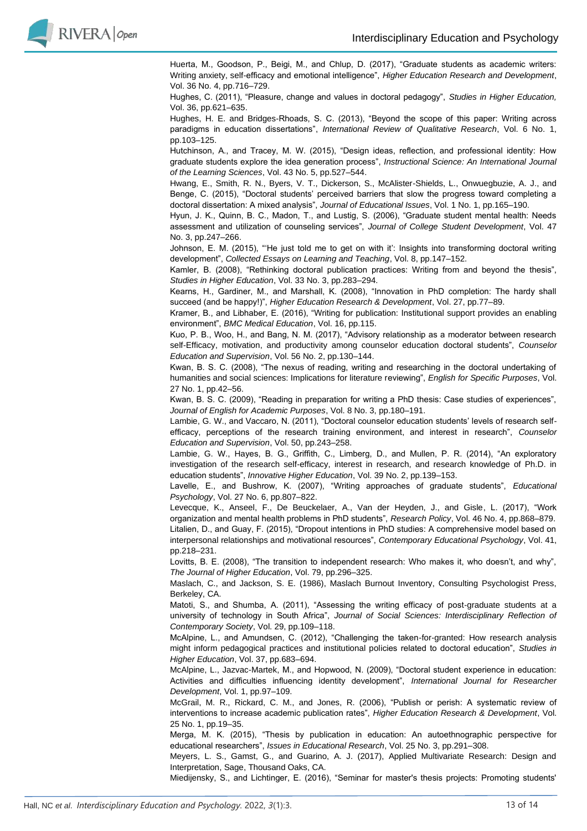

Huerta, M., Goodson, P., Beigi, M., and Chlup, D. (2017), "Graduate students as academic writers: Writing anxiety, self-efficacy and emotional intelligence", *Higher Education Research and Development*, Vol. 36 No. 4, pp.716–729.

Hughes, C. (2011), "Pleasure, change and values in doctoral pedagogy", *Studies in Higher Education,* Vol. 36, pp.621–635.

Hughes, H. E. and Bridges-Rhoads, S. C. (2013), "Beyond the scope of this paper: Writing across paradigms in education dissertations", *International Review of Qualitative Research*, Vol. 6 No. 1, pp.103–125.

Hutchinson, A., and Tracey, M. W. (2015), "Design ideas, reflection, and professional identity: How graduate students explore the idea generation process", *Instructional Science: An International Journal of the Learning Sciences*, Vol. 43 No. 5, pp.527–544.

Hwang, E., Smith, R. N., Byers, V. T., Dickerson, S., McAlister-Shields, L., Onwuegbuzie, A. J., and Benge, C. (2015), "Doctoral students' perceived barriers that slow the progress toward completing a doctoral dissertation: A mixed analysis", *Journal of Educational Issues*, Vol. 1 No. 1, pp.165–190.

Hyun, J. K., Quinn, B. C., Madon, T., and Lustig, S. (2006), "Graduate student mental health: Needs assessment and utilization of counseling services", *Journal of College Student Development*, Vol. 47 No. 3, pp.247–266.

Johnson, E. M. (2015), "'He just told me to get on with it': Insights into transforming doctoral writing development", *Collected Essays on Learning and Teaching*, Vol. 8, pp.147–152.

Kamler, B. (2008), "Rethinking doctoral publication practices: Writing from and beyond the thesis", *Studies in Higher Education*, Vol. 33 No. 3, pp.283–294.

Kearns, H., Gardiner, M., and Marshall, K. (2008), "Innovation in PhD completion: The hardy shall succeed (and be happy!)", *Higher Education Research & Development*, Vol. 27, pp.77–89.

Kramer, B., and Libhaber, E. (2016), "Writing for publication: Institutional support provides an enabling environment", *BMC Medical Education*, Vol. 16, pp.115.

Kuo, P. B., Woo, H., and Bang, N. M. (2017), "Advisory relationship as a moderator between research self-Efficacy, motivation, and productivity among counselor education doctoral students", *Counselor Education and Supervision*, Vol. 56 No. 2, pp.130–144.

Kwan, B. S. C. (2008), "The nexus of reading, writing and researching in the doctoral undertaking of humanities and social sciences: Implications for literature reviewing", *English for Specific Purposes*, Vol. 27 No. 1, pp.42–56.

Kwan, B. S. C. (2009), "Reading in preparation for writing a PhD thesis: Case studies of experiences", *Journal of English for Academic Purposes*, Vol. 8 No. 3, pp.180–191.

Lambie, G. W., and Vaccaro, N. (2011), "Doctoral counselor education students' levels of research selfefficacy, perceptions of the research training environment, and interest in research", *Counselor Education and Supervision*, Vol. 50, pp.243–258.

Lambie, G. W., Hayes, B. G., Griffith, C., Limberg, D., and Mullen, P. R. (2014), "An exploratory investigation of the research self-efficacy, interest in research, and research knowledge of Ph.D. in education students", *Innovative Higher Education*, Vol. 39 No. 2, pp.139–153.

Lavelle, E., and Bushrow, K. (2007), "Writing approaches of graduate students", *Educational Psychology*, Vol. 27 No. 6, pp.807–822.

Levecque, K., Anseel, F., De Beuckelaer, A., Van der Heyden, J., and Gisle, L. (2017), "Work organization and mental health problems in PhD students", *Research Policy*, Vol. 46 No. 4, pp.868–879. Litalien, D., and Guay, F. (2015), "Dropout intentions in PhD studies: A comprehensive model based on interpersonal relationships and motivational resources", *Contemporary Educational Psychology*, Vol. 41, pp.218–231.

Lovitts, B. E. (2008), "The transition to independent research: Who makes it, who doesn't, and why", *The Journal of Higher Education*, Vol. 79, pp.296–325.

Maslach, C., and Jackson, S. E. (1986), Maslach Burnout Inventory, Consulting Psychologist Press, Berkeley, CA.

Matoti, S., and Shumba, A. (2011), "Assessing the writing efficacy of post-graduate students at a university of technology in South Africa", *Journal of Social Sciences: Interdisciplinary Reflection of Contemporary Society*, Vol. 29, pp.109–118.

McAlpine, L., and Amundsen, C. (2012), "Challenging the taken-for-granted: How research analysis might inform pedagogical practices and institutional policies related to doctoral education", *Studies in Higher Education*, Vol. 37, pp.683–694.

McAlpine, L., Jazvac-Martek, M., and Hopwood, N. (2009), "Doctoral student experience in education: Activities and difficulties influencing identity development", *International Journal for Researcher Development*, Vol. 1, pp.97–109.

McGrail, M. R., Rickard, C. M., and Jones, R. (2006), "Publish or perish: A systematic review of interventions to increase academic publication rates", *Higher Education Research & Development*, Vol. 25 No. 1, pp.19–35.

Merga, M. K. (2015), "Thesis by publication in education: An autoethnographic perspective for educational researchers", *Issues in Educational Research*, Vol. 25 No. 3, pp.291–308.

Meyers, L. S., Gamst, G., and Guarino, A. J. (2017), Applied Multivariate Research: Design and Interpretation, Sage, Thousand Oaks, CA.

Miedijensky, S., and Lichtinger, E. (2016), "Seminar for master's thesis projects: Promoting students'